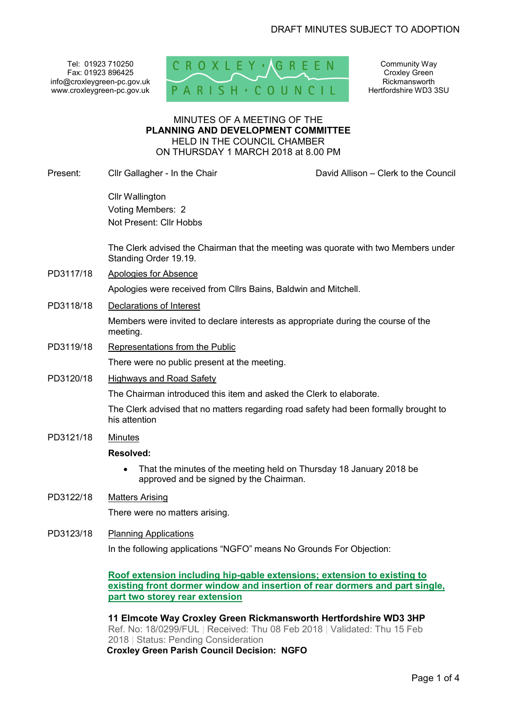Tel: 01923 710250 Fax: 01923 896425 info@croxleygreen-pc.gov.uk www.croxleygreen-pc.gov.uk



Community Way Croxley Green Rickmansworth Hertfordshire WD3 3SU

#### MINUTES OF A MEETING OF THE **PLANNING AND DEVELOPMENT COMMITTEE** HELD IN THE COUNCIL CHAMBER ON THURSDAY 1 MARCH 2018 at 8.00 PM

Present: Cllr Gallagher - In the Chair David Allison – Clerk to the Council

Cllr Wallington Voting Members: 2 Not Present: Cllr Hobbs

The Clerk advised the Chairman that the meeting was quorate with two Members under Standing Order 19.19.

PD3117/18 Apologies for Absence

Apologies were received from Cllrs Bains, Baldwin and Mitchell.

PD3118/18 Declarations of Interest

Members were invited to declare interests as appropriate during the course of the meeting.

- PD3119/18 Representations from the Public There were no public present at the meeting.
- PD3120/18 Highways and Road Safety

The Chairman introduced this item and asked the Clerk to elaborate.

The Clerk advised that no matters regarding road safety had been formally brought to his attention

PD3121/18 Minutes

## **Resolved:**

- That the minutes of the meeting held on Thursday 18 January 2018 be approved and be signed by the Chairman.
- PD3122/18 Matters Arising

There were no matters arising.

## PD3123/18 Planning Applications

In the following applications "NGFO" means No Grounds For Objection:

**Roof extension including hip-gable extensions; extension to existing to existing front dormer window and insertion of rear dormers and part single, part two storey rear extension**

**11 Elmcote Way Croxley Green Rickmansworth Hertfordshire WD3 3HP**  Ref. No: 18/0299/FUL | Received: Thu 08 Feb 2018 | Validated: Thu 15 Feb 2018 | Status: Pending Consideration **Croxley Green Parish Council Decision: NGFO**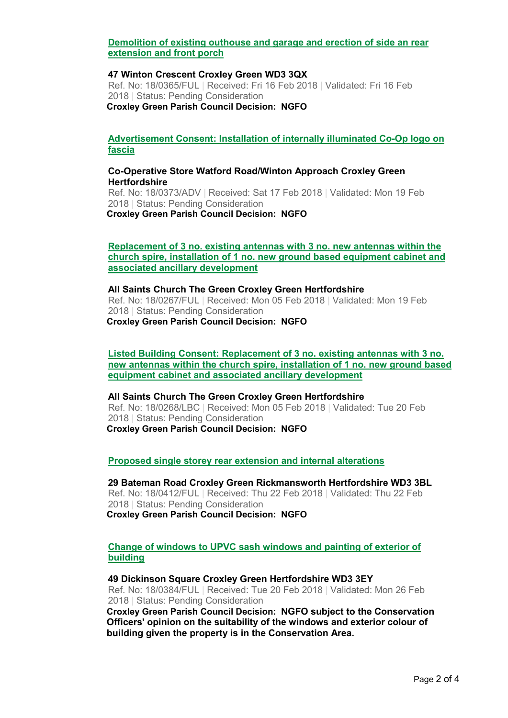## **Demolition of existing outhouse and garage and erection of side an rear extension and front porch**

#### **47 Winton Crescent Croxley Green WD3 3QX**

Ref. No: 18/0365/FUL | Received: Fri 16 Feb 2018 | Validated: Fri 16 Feb 2018 | Status: Pending Consideration **Croxley Green Parish Council Decision: NGFO**

#### **Advertisement Consent: Installation of internally illuminated Co-Op logo on fascia**

#### **Co-Operative Store Watford Road/Winton Approach Croxley Green Hertfordshire**

Ref. No: 18/0373/ADV | Received: Sat 17 Feb 2018 | Validated: Mon 19 Feb 2018 | Status: Pending Consideration **Croxley Green Parish Council Decision: NGFO**

#### **Replacement of 3 no. existing antennas with 3 no. new antennas within the church spire, installation of 1 no. new ground based equipment cabinet and associated ancillary development**

#### **All Saints Church The Green Croxley Green Hertfordshire**

Ref. No: 18/0267/FUL | Received: Mon 05 Feb 2018 | Validated: Mon 19 Feb 2018 | Status: Pending Consideration **Croxley Green Parish Council Decision: NGFO**

**Listed Building Consent: Replacement of 3 no. existing antennas with 3 no. new antennas within the church spire, installation of 1 no. new ground based equipment cabinet and associated ancillary development**

#### **All Saints Church The Green Croxley Green Hertfordshire**

Ref. No: 18/0268/LBC | Received: Mon 05 Feb 2018 | Validated: Tue 20 Feb 2018 | Status: Pending Consideration **Croxley Green Parish Council Decision: NGFO**

#### **Proposed single storey rear extension and internal alterations**

## **29 Bateman Road Croxley Green Rickmansworth Hertfordshire WD3 3BL**

Ref. No: 18/0412/FUL | Received: Thu 22 Feb 2018 | Validated: Thu 22 Feb 2018 | Status: Pending Consideration

**Croxley Green Parish Council Decision: NGFO**

### **Change of windows to UPVC sash windows and painting of exterior of building**

#### **49 Dickinson Square Croxley Green Hertfordshire WD3 3EY**

Ref. No: 18/0384/FUL | Received: Tue 20 Feb 2018 | Validated: Mon 26 Feb 2018 | Status: Pending Consideration

**Croxley Green Parish Council Decision: NGFO subject to the Conservation Officers' opinion on the suitability of the windows and exterior colour of building given the property is in the Conservation Area.**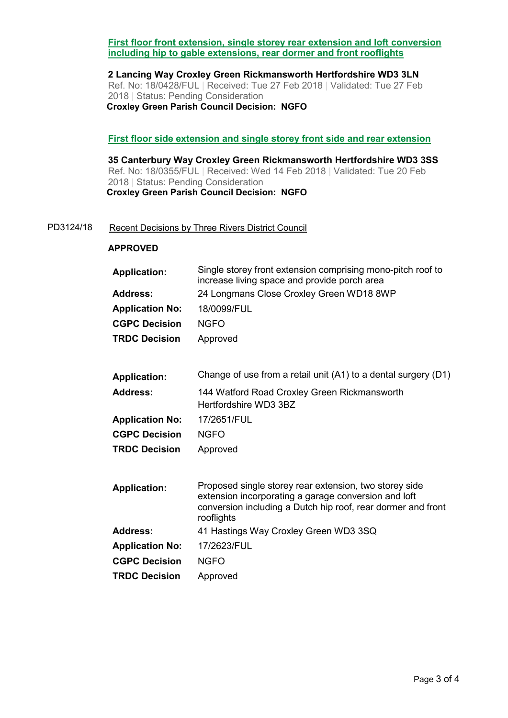## **First floor front extension, single storey rear extension and loft conversion including hip to gable extensions, rear dormer and front rooflights**

**2 Lancing Way Croxley Green Rickmansworth Hertfordshire WD3 3LN**  Ref. No: 18/0428/FUL | Received: Tue 27 Feb 2018 | Validated: Tue 27 Feb 2018 | Status: Pending Consideration **Croxley Green Parish Council Decision: NGFO**

### **First floor side extension and single storey front side and rear extension**

**35 Canterbury Way Croxley Green Rickmansworth Hertfordshire WD3 3SS**  Ref. No: 18/0355/FUL | Received: Wed 14 Feb 2018 | Validated: Tue 20 Feb 2018 | Status: Pending Consideration **Croxley Green Parish Council Decision: NGFO** 

#### PD3124/18 Recent Decisions by Three Rivers District Council

### **APPROVED**

| Single storey front extension comprising mono-pitch roof to<br>increase living space and provide porch area                                                                                  |
|----------------------------------------------------------------------------------------------------------------------------------------------------------------------------------------------|
| 24 Longmans Close Croxley Green WD18 8WP                                                                                                                                                     |
| 18/0099/FUL                                                                                                                                                                                  |
| <b>NGFO</b>                                                                                                                                                                                  |
| Approved                                                                                                                                                                                     |
| Change of use from a retail unit (A1) to a dental surgery (D1)                                                                                                                               |
| 144 Watford Road Croxley Green Rickmansworth<br>Hertfordshire WD3 3BZ                                                                                                                        |
| 17/2651/FUL                                                                                                                                                                                  |
| <b>NGFO</b>                                                                                                                                                                                  |
| Approved                                                                                                                                                                                     |
| Proposed single storey rear extension, two storey side<br>extension incorporating a garage conversion and loft<br>conversion including a Dutch hip roof, rear dormer and front<br>rooflights |
| 41 Hastings Way Croxley Green WD3 3SQ                                                                                                                                                        |
| 17/2623/FUL                                                                                                                                                                                  |
| <b>NGFO</b>                                                                                                                                                                                  |
| Approved                                                                                                                                                                                     |
|                                                                                                                                                                                              |